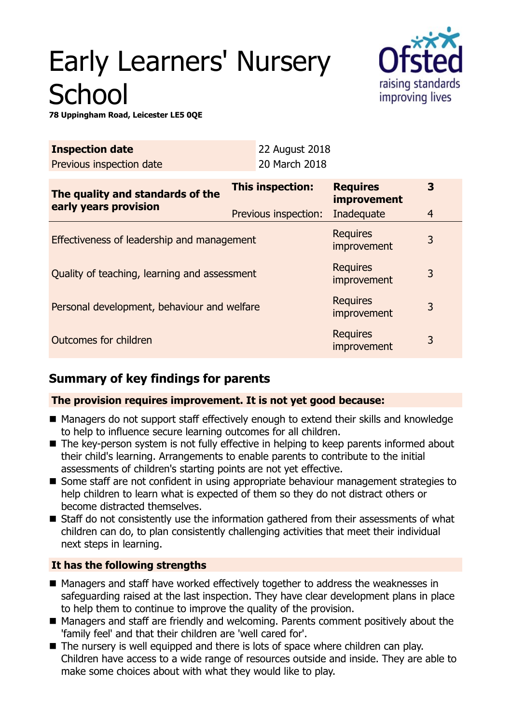# Early Learners' Nursery **School**



**78 Uppingham Road, Leicester LE5 0QE**

| <b>Inspection date</b>                                    | 22 August 2018                           |                                                     |        |
|-----------------------------------------------------------|------------------------------------------|-----------------------------------------------------|--------|
| Previous inspection date                                  | 20 March 2018                            |                                                     |        |
| The quality and standards of the<br>early years provision | This inspection:<br>Previous inspection: | <b>Requires</b><br><b>improvement</b><br>Inadequate | 3<br>4 |
| Effectiveness of leadership and management                |                                          | <b>Requires</b><br>improvement                      | 3      |
| Quality of teaching, learning and assessment              |                                          | <b>Requires</b><br>improvement                      | 3      |
| Personal development, behaviour and welfare               |                                          | <b>Requires</b><br>improvement                      | 3      |
| Outcomes for children                                     |                                          | <b>Requires</b><br>improvement                      | 3      |

# **Summary of key findings for parents**

## **The provision requires improvement. It is not yet good because:**

- Managers do not support staff effectively enough to extend their skills and knowledge to help to influence secure learning outcomes for all children.
- $\blacksquare$  The key-person system is not fully effective in helping to keep parents informed about their child's learning. Arrangements to enable parents to contribute to the initial assessments of children's starting points are not yet effective.
- Some staff are not confident in using appropriate behaviour management strategies to help children to learn what is expected of them so they do not distract others or become distracted themselves.
- $\blacksquare$  Staff do not consistently use the information gathered from their assessments of what children can do, to plan consistently challenging activities that meet their individual next steps in learning.

## **It has the following strengths**

- Managers and staff have worked effectively together to address the weaknesses in safeguarding raised at the last inspection. They have clear development plans in place to help them to continue to improve the quality of the provision.
- Managers and staff are friendly and welcoming. Parents comment positively about the 'family feel' and that their children are 'well cared for'.
- $\blacksquare$  The nursery is well equipped and there is lots of space where children can play. Children have access to a wide range of resources outside and inside. They are able to make some choices about with what they would like to play.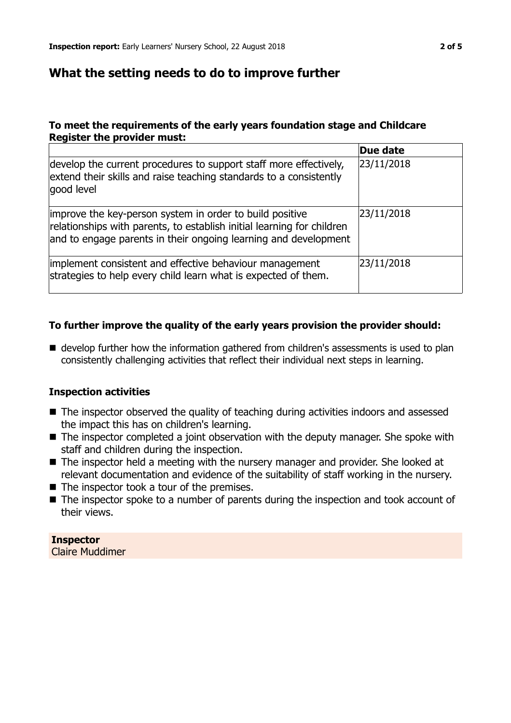## **What the setting needs to do to improve further**

#### **To meet the requirements of the early years foundation stage and Childcare Register the provider must:**

|                                                                                                                                                                                                       | Due date   |
|-------------------------------------------------------------------------------------------------------------------------------------------------------------------------------------------------------|------------|
| develop the current procedures to support staff more effectively,<br>extend their skills and raise teaching standards to a consistently<br>good level                                                 | 23/11/2018 |
| improve the key-person system in order to build positive<br>relationships with parents, to establish initial learning for children<br>and to engage parents in their ongoing learning and development | 23/11/2018 |
| implement consistent and effective behaviour management<br>strategies to help every child learn what is expected of them.                                                                             | 23/11/2018 |

#### **To further improve the quality of the early years provision the provider should:**

 $\blacksquare$  develop further how the information gathered from children's assessments is used to plan consistently challenging activities that reflect their individual next steps in learning.

#### **Inspection activities**

- The inspector observed the quality of teaching during activities indoors and assessed the impact this has on children's learning.
- The inspector completed a joint observation with the deputy manager. She spoke with staff and children during the inspection.
- $\blacksquare$  The inspector held a meeting with the nursery manager and provider. She looked at relevant documentation and evidence of the suitability of staff working in the nursery.
- $\blacksquare$  The inspector took a tour of the premises.
- $\blacksquare$  The inspector spoke to a number of parents during the inspection and took account of their views.

**Inspector** Claire Muddimer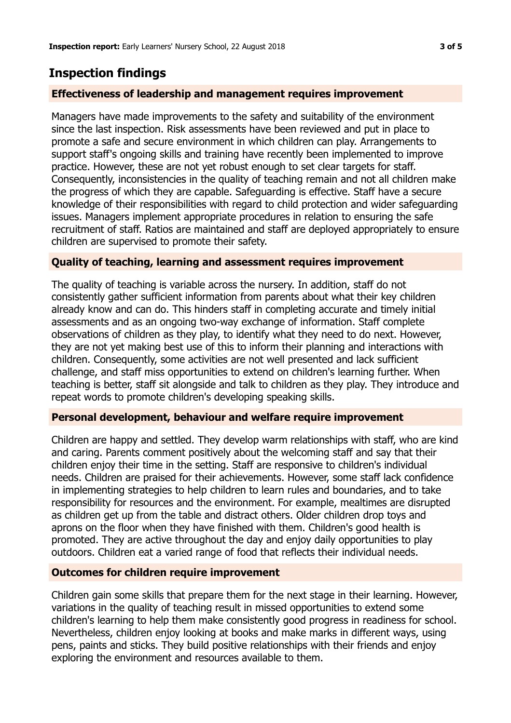# **Inspection findings**

#### **Effectiveness of leadership and management requires improvement**

Managers have made improvements to the safety and suitability of the environment since the last inspection. Risk assessments have been reviewed and put in place to promote a safe and secure environment in which children can play. Arrangements to support staff's ongoing skills and training have recently been implemented to improve practice. However, these are not yet robust enough to set clear targets for staff. Consequently, inconsistencies in the quality of teaching remain and not all children make the progress of which they are capable. Safeguarding is effective. Staff have a secure knowledge of their responsibilities with regard to child protection and wider safeguarding issues. Managers implement appropriate procedures in relation to ensuring the safe recruitment of staff. Ratios are maintained and staff are deployed appropriately to ensure children are supervised to promote their safety.

#### **Quality of teaching, learning and assessment requires improvement**

The quality of teaching is variable across the nursery. In addition, staff do not consistently gather sufficient information from parents about what their key children already know and can do. This hinders staff in completing accurate and timely initial assessments and as an ongoing two-way exchange of information. Staff complete observations of children as they play, to identify what they need to do next. However, they are not yet making best use of this to inform their planning and interactions with children. Consequently, some activities are not well presented and lack sufficient challenge, and staff miss opportunities to extend on children's learning further. When teaching is better, staff sit alongside and talk to children as they play. They introduce and repeat words to promote children's developing speaking skills.

#### **Personal development, behaviour and welfare require improvement**

Children are happy and settled. They develop warm relationships with staff, who are kind and caring. Parents comment positively about the welcoming staff and say that their children enjoy their time in the setting. Staff are responsive to children's individual needs. Children are praised for their achievements. However, some staff lack confidence in implementing strategies to help children to learn rules and boundaries, and to take responsibility for resources and the environment. For example, mealtimes are disrupted as children get up from the table and distract others. Older children drop toys and aprons on the floor when they have finished with them. Children's good health is promoted. They are active throughout the day and enjoy daily opportunities to play outdoors. Children eat a varied range of food that reflects their individual needs.

#### **Outcomes for children require improvement**

Children gain some skills that prepare them for the next stage in their learning. However, variations in the quality of teaching result in missed opportunities to extend some children's learning to help them make consistently good progress in readiness for school. Nevertheless, children enjoy looking at books and make marks in different ways, using pens, paints and sticks. They build positive relationships with their friends and enjoy exploring the environment and resources available to them.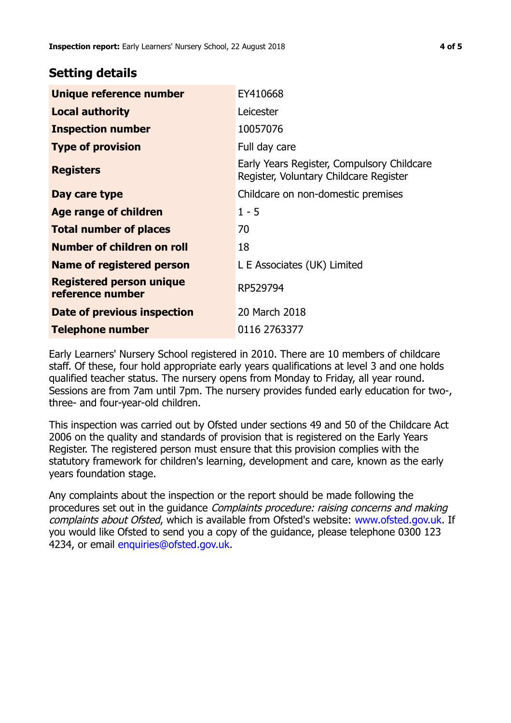## **Setting details**

| Unique reference number                             | EY410668                                                                             |
|-----------------------------------------------------|--------------------------------------------------------------------------------------|
| <b>Local authority</b>                              | Leicester                                                                            |
| <b>Inspection number</b>                            | 10057076                                                                             |
| <b>Type of provision</b>                            | Full day care                                                                        |
| <b>Registers</b>                                    | Early Years Register, Compulsory Childcare<br>Register, Voluntary Childcare Register |
| Day care type                                       | Childcare on non-domestic premises                                                   |
| <b>Age range of children</b>                        | $1 - 5$                                                                              |
| <b>Total number of places</b>                       | 70                                                                                   |
| Number of children on roll                          | 18                                                                                   |
| Name of registered person                           | L E Associates (UK) Limited                                                          |
| <b>Registered person unique</b><br>reference number | RP529794                                                                             |
| Date of previous inspection                         | 20 March 2018                                                                        |
| <b>Telephone number</b>                             | 0116 2763377                                                                         |

Early Learners' Nursery School registered in 2010. There are 10 members of childcare staff. Of these, four hold appropriate early years qualifications at level 3 and one holds qualified teacher status. The nursery opens from Monday to Friday, all year round. Sessions are from 7am until 7pm. The nursery provides funded early education for two-, three- and four-year-old children.

This inspection was carried out by Ofsted under sections 49 and 50 of the Childcare Act 2006 on the quality and standards of provision that is registered on the Early Years Register. The registered person must ensure that this provision complies with the statutory framework for children's learning, development and care, known as the early years foundation stage.

Any complaints about the inspection or the report should be made following the procedures set out in the guidance Complaints procedure: raising concerns and making complaints about Ofsted, which is available from Ofsted's website: www.ofsted.gov.uk. If you would like Ofsted to send you a copy of the guidance, please telephone 0300 123 4234, or email [enquiries@ofsted.gov.uk.](mailto:enquiries@ofsted.gov.uk)